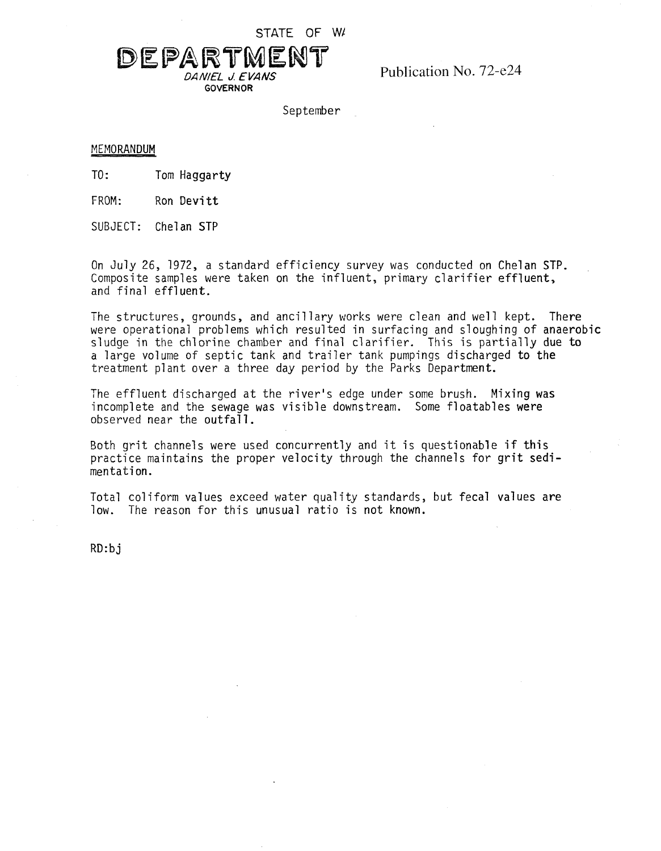STATE OF W/

## DEPARTMENT *DAN/EL d. EVANS* Publication No. 72-e24

**GOVERNOR**

September

## MEMORANDUM

TO: Tom Haggarty

FROM: Ron Devitt

SUBJECT: Chelan STP

On July 26, 1972, <sup>a</sup> standard efficiency survey was conducted on Chelan STP. Composite samples were taken on the influent, primary clarifier effluent, and final effluent.

The structures, grounds, and ancillary works were clean and well kept. There were operational problems which resulted in surfacing and sloughing of anaerobic sludge in the chlorine chamber and final clarifier. This is partially due to a large volume of septic tank and trailer tank pumpings discharged to the treatment plant over <sup>a</sup> three day period by the Parks Department.

The effluent discharged at the river's edge under some brush. Mixing **was** incomplete and the sewage was visible downstream. Some floatables were observed near the outfall.

Both grit channels were used concurrently and it is questionable if this practice maintains the proper velocity through the channels for grit sedimentation.

Total coliform values exceed water quality standards, but fecal values are low. The reason for this unusual ratio is not known.

RD:bj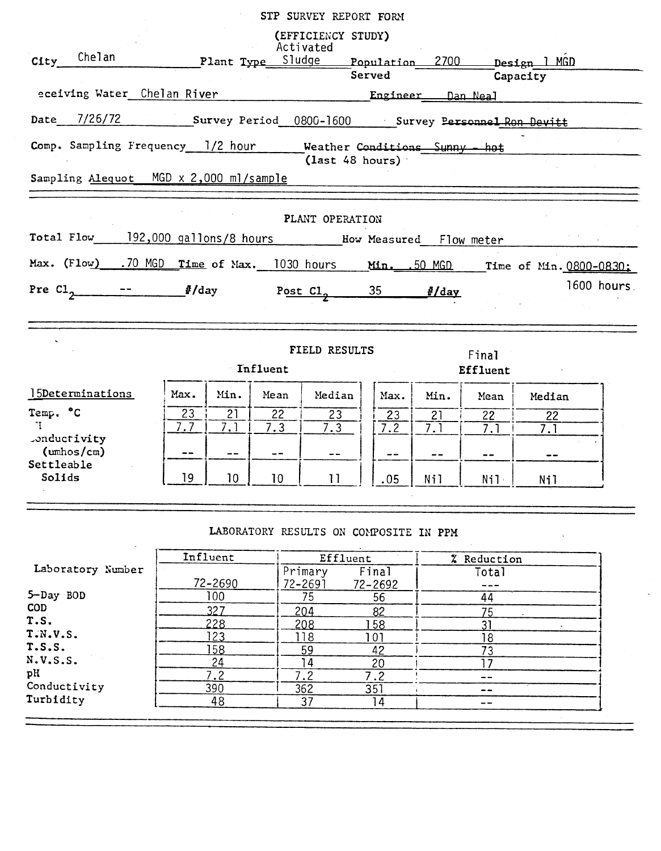|                                                                                  |             |              |                 | (EFFICIENCY STUDY)<br>Activated                  |                  |               |                   |        |            |
|----------------------------------------------------------------------------------|-------------|--------------|-----------------|--------------------------------------------------|------------------|---------------|-------------------|--------|------------|
| City Chelan                                                                      |             |              |                 | Plant Type Sludge  Population 2700  Design 1 MGD |                  |               |                   |        |            |
|                                                                                  |             |              |                 |                                                  |                  | Served Theory | Capacity          |        |            |
|                                                                                  |             |              |                 |                                                  |                  |               |                   |        |            |
| Date 7/26/72 Survey Period 0800-1600 Survey Personnel Ron Devitt                 |             |              |                 |                                                  |                  |               |                   |        |            |
| Comp. Sampling Frequency 1/2 hour Weather Conditions Sunny - hot                 |             |              |                 | $\frac{1}{2}$ (last 48 hours)                    |                  |               |                   |        |            |
| Sampling Alequot MGD x 2,000 ml/sample                                           |             |              |                 |                                                  |                  |               |                   |        |            |
|                                                                                  |             |              |                 | PLANT OPERATION                                  |                  |               |                   |        |            |
|                                                                                  |             |              |                 |                                                  |                  |               |                   |        |            |
| Max. (Flow) .70 MGD Time of Max. 1030 hours Min. .50 MGD Time of Min. 0800-0830; |             |              |                 |                                                  |                  |               |                   |        |            |
| Pre $Cl_2$ -- $\qquad$ /day Post $Cl_2$ 35 <i>I/day</i>                          |             |              |                 |                                                  |                  |               |                   |        | 1600 hours |
|                                                                                  |             |              | Influent        | FIELD RESULTS                                    |                  |               | Final<br>Effluent |        |            |
| 15Determinations                                                                 | Max.        | Min.         | Mean            | Median                                           | Max.             | Min.          | Mean              | Median |            |
| Temp. °C                                                                         | 23          | 21           | 22              | 23                                               | 23               | 21            | 22 <sub>2</sub>   | 22     |            |
| $\mathbf{H}$<br>.onductivity<br>$(\text{umbos}/\text{cm})$                       | 7.7<br>$ -$ | 7.1<br>$- -$ | 7.3<br>--       | 7.3<br>$- -$                                     | 7.2<br>--        | 7.1           | 7.1               | 7.1    |            |
| Settleable<br>Solids                                                             | 19          | 10           | 10 <sup>°</sup> | 11                                               | .05              | Nil           | Nil·              | Nil    |            |
|                                                                                  |             |              |                 | LABORATORY RESULTS ON COMPOSITE IN PPM           |                  |               |                   |        |            |
|                                                                                  |             | Influent     |                 | Effluent                                         |                  |               | % Reduction       |        |            |
| Laboratory Number                                                                |             | 72-2690      |                 | Primary<br>$72 - 2691$                           | Final<br>72-2692 |               | Total<br>---      |        |            |
| 5-Day BOD<br>COD                                                                 |             | 100          |                 | 75                                               | 56               |               | 44                |        |            |
| r c                                                                              |             | 327          |                 | 204                                              | 82               |               | 75                |        |            |

| <b>COD</b>   | ר מכ       |     |                |       |  |
|--------------|------------|-----|----------------|-------|--|
|              |            | 204 | 82             |       |  |
| T.S.         | ククロ        | 208 | 58             |       |  |
| T.N.V.S.     | .<br>ن ے ا |     | 0 <sup>1</sup> |       |  |
| T.S.S.       | 58         | 59  | 42             |       |  |
| N.V.S.S.     |            |     | 20             |       |  |
| pH           |            |     |                | $-$   |  |
| Conductivity | 390        | 362 | 351            | --    |  |
| Turbidity    | 48         | ⌒   |                | $- -$ |  |
|              |            |     |                |       |  |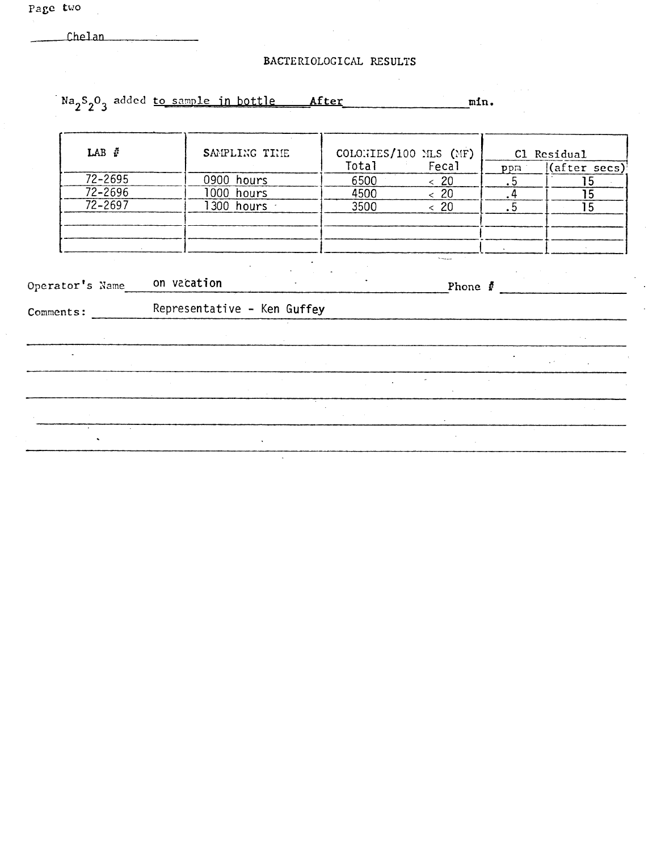fhelan

 $\mathcal{L}^{\text{max}}_{\text{max}}$  and  $\mathcal{L}^{\text{max}}_{\text{max}}$ 

| BACTERIOLOGICAL RESULTS |  |  |
|-------------------------|--|--|
|-------------------------|--|--|

**Na<sub>2</sub><sup>S</sup><sub>2</sub><sup>O</sup><sub>3</sub>** added <u>to sample in bottle **After**</u> **mm. LAB**  $\mathbf{\hat{F}}$  **SAMPLING THE** COLONIES/100 MLS (MF) Cl Residual Total **Fecal** *pp~j(after secs)~* <table>\n<tbody>\n<tr>\n<th>72-2695</th>\n<th>0900 hours</th>\n<th>6500</th>\n<th>≤ 20</th>\n<th>.5</th>\n<th>15</th>\n</tr>\n<tr>\n<td>72-2696</td>\n<td>1000 hours</td>\n<td>4500</td>\n<td>≤ 20</td>\n<td>.4</td>\n<td>15</td>\n</tr>\n<tr>\n<td>72-2697</td>\n<td>1300 hours</td>\n<td>3500</td>\n<td>≤ 20</td>\n<td>.5</td>\n<td>15</td>\n</tr>\n</tbody>\n</table> *.5 <sup>1</sup> 15* 72-2695 0900 hours 6500 **<sup>&</sup>lt; 20** 72-2696 1000 hours 4500 **<sup>&</sup>lt; 20** .4 15 |<br>|<br>|  $\overline{a}$ **Operator's Name** on vacation Phone  $\frac{1}{2}$ Representative - Ken Guffey Comments:  $\mathbb{Z}^{\mathbb{Z}}$  $\mathbb{Z}^{\times}$ J,  $\ddot{\phantom{a}}$  $\ddot{\phantom{a}}$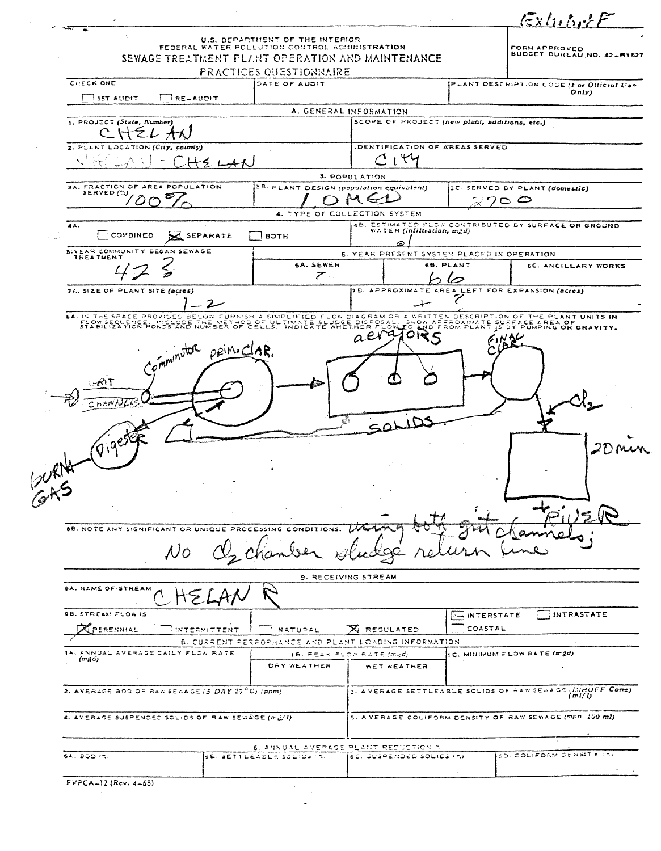|                                                                                                                              |                                                   |                                                                                                              |                                                                                                 |                        | $l$ $\frac{1}{2}$ xlubyt $F$                                                                                         |
|------------------------------------------------------------------------------------------------------------------------------|---------------------------------------------------|--------------------------------------------------------------------------------------------------------------|-------------------------------------------------------------------------------------------------|------------------------|----------------------------------------------------------------------------------------------------------------------|
|                                                                                                                              |                                                   | U.S. DEPARTMENT OF THE INTERIOR<br>FEDERAL WATER POLLUTION CONTROL ADMINISTRATION<br>PRACTICES QUESTIONNAIRE | SEWAGE TREATMENT PLANT OPERATION AND MAINTENANCE                                                |                        | <b>FORM APPROVED</b><br>BUDGET BUREAU NO. 42-R1527                                                                   |
| CHECK ONE                                                                                                                    |                                                   | DATE OF AUDIT                                                                                                |                                                                                                 |                        | PLANT DESCRIPTION CODE (For Official Use                                                                             |
| <b>15T AUDIT</b>                                                                                                             | $\Box$ RE-AUDIT                                   |                                                                                                              |                                                                                                 |                        | Only)                                                                                                                |
| 1. PROJECT (State, Number)                                                                                                   |                                                   |                                                                                                              | A. GENERAL INFORMATION<br>SCOPE OF PROJECT (new plant, additions, etc.)                         |                        |                                                                                                                      |
|                                                                                                                              |                                                   |                                                                                                              |                                                                                                 |                        |                                                                                                                      |
| 2. PLANT LOCATION (City, county)                                                                                             |                                                   |                                                                                                              | DENTIFICATION OF AREAS SERVED                                                                   |                        |                                                                                                                      |
|                                                                                                                              |                                                   |                                                                                                              | $\mathsf{H}$                                                                                    |                        |                                                                                                                      |
| 3A, FRACTION OF AREA POPULATION                                                                                              |                                                   | 3B. PLANT DESIGN (population equivalent)                                                                     | 3. POPULATION                                                                                   |                        | 3C. SERVED BY PLANT (domestic)                                                                                       |
| SERVED (%)                                                                                                                   |                                                   |                                                                                                              |                                                                                                 |                        | ⊂                                                                                                                    |
| 44.                                                                                                                          |                                                   |                                                                                                              | 4. TYPE OF COLLECTION SYSTEM                                                                    |                        | 4B. ESTIMATED FLOW CONTRIBUTED BY SURFACE OR GROUND                                                                  |
| <b>COMBINED</b>                                                                                                              | <b>C</b> SEPARATE                                 | <b>BOTH</b>                                                                                                  | WATER (infiltration, m2d)                                                                       |                        |                                                                                                                      |
| <b>5.YEAR COMMUNITY BEGAN SEWAGE</b><br><b>TREATMENT</b>                                                                     |                                                   |                                                                                                              | 6. YEAR PRESENT SYSTEM PLACED IN OPERATION                                                      |                        |                                                                                                                      |
|                                                                                                                              |                                                   | 6A. SEWER<br>$\mathcal{F}$                                                                                   |                                                                                                 | 6B. PLANT              | 6C. ANCILLARY WORKS                                                                                                  |
| 74. SIZE OF PLANT SITE (acres)                                                                                               |                                                   |                                                                                                              |                                                                                                 |                        | <b>JE. APPROXIMATE AREA LEFT FOR EXPANSION (acres)</b>                                                               |
|                                                                                                                              | - 2 -                                             |                                                                                                              |                                                                                                 |                        | \$A. IN THE SPACE PROVISES BELOW FURNISH A SIMPLIFIED FLOW DIAGRAM OR A WRITTEN DESCRIPTION OF THE PLANT UNITS IN    |
|                                                                                                                              |                                                   |                                                                                                              |                                                                                                 |                        |                                                                                                                      |
| FLOW FEOUR SERVICE OF SERVICE OF LIBRARY AND THE SUBSTANCE OF SUBSTANCE OF GRAVITY.<br>R<br>^ ዘጸሃሶ<br>$(9.9e^{56})$<br>BURNA | Comminutor princiar.                              |                                                                                                              | SOLIDS                                                                                          |                        |                                                                                                                      |
|                                                                                                                              | 8B. NOTE ANY SIGNIFICANT OR UNIQUE PROCESSING     | CONDITIONS.                                                                                                  | 9. RECEIVING STREAM                                                                             |                        |                                                                                                                      |
| <b>9A. NAME OF STREAM</b>                                                                                                    |                                                   |                                                                                                              |                                                                                                 |                        |                                                                                                                      |
| <b>9B. STREAM FLOW IS</b><br>PERENNIAL                                                                                       | $\mathbb{I}$ INTERMITTENT                         | <b>NATURAL</b>                                                                                               | <b>X REGULATED</b>                                                                              | HINTERSTATE<br>COASTAL | INTRASTATE                                                                                                           |
| IAL ANNUAL AVERAGE DAILY FLOW RATE<br>$(m \, g \, c)$                                                                        |                                                   | DRY WEATHER                                                                                                  | B. CURRENT PERFORMANCE AND PLANT LOADING INFORMATION<br>16. PEAK FLOW RATE (m2d)<br>WET WEATHER |                        | C. MINIMUM FLOW RATE (m2d)                                                                                           |
|                                                                                                                              | 2. AVERAGE BOD OF RANSENAGE (5 DAY 29°C) (ppm)    |                                                                                                              |                                                                                                 |                        | (m!/l)                                                                                                               |
|                                                                                                                              | 4. AVERAGE SUSPENDED SOLIDS OF RAW SEWAGE (m.)/1) |                                                                                                              |                                                                                                 |                        | 3. A VERAGE SETTLEABLE SOLIDS OF RAW SENAGE (INHOFF Cone)<br>5. A VERAGE COLIFORM DENSITY OF RAW SEWAGE (mpn 100 ml) |
| <b>SAL BOD INTI</b>                                                                                                          |                                                   | <b>6B. SETTLEAELE SOLIDS IN.</b>                                                                             | 6. ANNUAL AVERAGE PLANT REDUCTION T<br>(6C) SUSPENDED SOLIDS (n)                                |                        | <b>CD. COLIFORM DENSITY TS.</b>                                                                                      |

 $\mathcal{L}^{\text{max}}_{\text{max}}$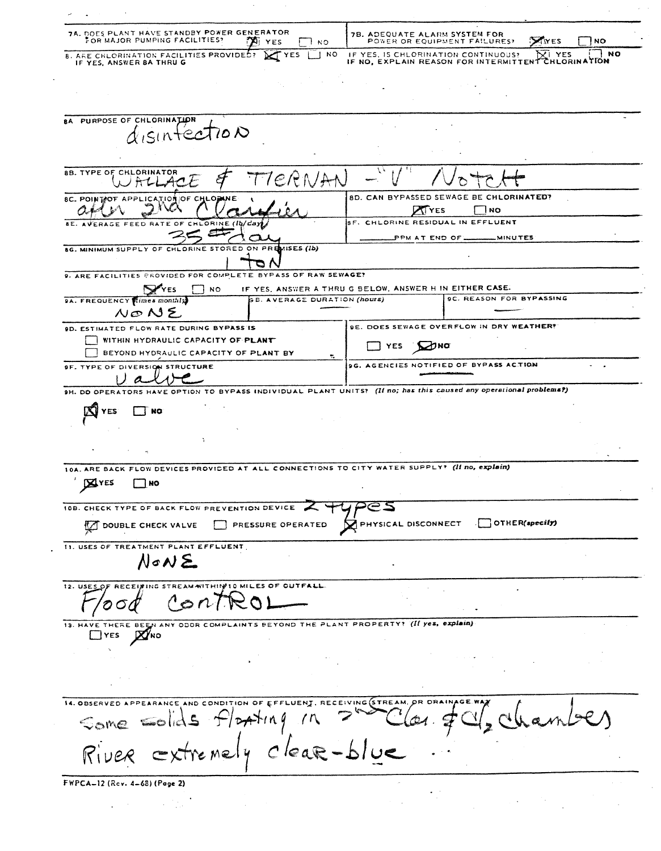**DOES PLANT HAVE STANDBY POWER GENERATOR**<br>FOR MAJOR PUMPING FACILITIES? [THE YES **78. ADEQUATE ALARM SYSTEM FOR POWER OR EQUIPMENT FAILURES? X**YES  $\Box$ NO **X** YES סא ר IF YES, IS CHLORINATION CONTINUOUS?<br>IF NO, EXPLAIN REASON FOR INTERMITTEN **8. ARE CHLORINATION FACILITIES PROVIDED?**<br>IF YES, ANSWER BA THRU G YES ັ| NO **NO** YES **CHLORINATION** BA PURPOSE OF CHLORINATION disinfection **8B. TYPE OF CHLORINATOR**  $H-L$ 8D. CAN BYPASSED SEWAGE BE CHLORINATED? **8C. POINT OF APPLICATION OF CHLOPINE TYES** ∃ ผo بمبي SF. CHLORINE RESIDUAL IN EFFLUENT BE. AVERAGE FEED RATE OF CHL ORINE (Ib/da) PPM AT END OF. **MINUTES**  $AISES$   $(Ib)$ 8G. MINIMUM SUPPLY OF CHLORINE STORED 9. ARE FACILITIES PROVIDED FOR COMPLETE BYPASS OF RAW SEWAGE? **SEYES** IF YES, ANSWER A THRU G BELOW, ANSWER H IN EITHER CASE. סא $\Box$ B. AVERAGE DURATION (hours) **9C. REASON FOR BYPASSING SA. FREQUENCY Himes monthly** NONE **9D. ESTIMATED FLOW RATE DURING BYPASS'IS 9E. DOES SEWAGE OVERFLOW IN DRY WEATHER?** WITHIN HYDRAULIC CAPACITY OF PLANT T YES **D**NO **BEYOND HYDRAULIC CAPACITY OF PLANT BY 9G. AGENCIES NOTIFIED OF BYPASS ACTION SF. TYPE OF DIVERSION STRUCTURE** Ιa 9H. DO OPERATORS HAVE OPTION TO BYPASS INDIVIDUAL PLANT UNITS? (If no; has this caused any operational problems?) **NYES**  $\Box$  NO 10A. ARE BACK FLOW DEVICES PROVIDED AT ALL CONNECTIONS TO CITY WATER SUPPLY? (II no, explain) **X**YES  $\Box$  No  $\geq$   $\leq$ 10B. CHECK TYPE OF BACK FLOW PREVENTION DEVICE OTHER(specify) PHYSICAL DISCONNECT DOUBLE CHECK VALVE PRESSURE OPERATED **11. USES OF TREATMENT PLANT EFFLUENT** NoNと RECEITING STREAM WITHING 10 MILES OF OUTFALL  $12.$  USES O O 13. HAVE THERE BEEN ANY ODDR COMPLAINTS BEYOND THE PLANT PROPERTY? (If yes, explain)  $D<sub>YES</sub>$   $M<sub>NO</sub>$ 14. OBSERVED APPEARANCE AND CONDITION OF EFFLUENT, RECEIVING STREAM  $D+A+nq$ Som  $lear-b/ue$ emely C FWPCA-12 (Rev. 4-68) (Page 2)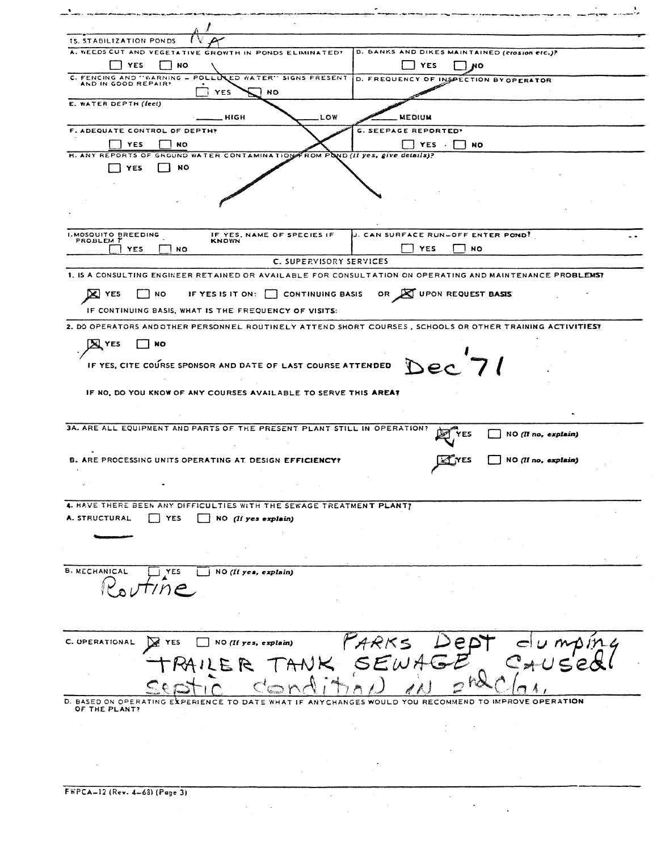| <b>15. STABILIZATION PONDS</b><br>A. WEEDS CUT AND VEGETATIVE GROWTH IN PONDS ELIMINATED?<br>B. BANKS AND DIKES MAINTAINED (crosion etc.)?<br>YES<br>NO.<br>YES<br>70<br>C. FENCING AND "WARNING - POLLUCED WATER" SIGNS FRESENT<br>D. FREQUENCY OF INSPECTION BY OPERATOR<br>AND IN GOOD REPAIR?<br><b>YES</b><br><b>NO</b><br>E. WATER DEPTH (feet)<br><b>MEDIUM</b><br>HIGH<br>LOW<br>F. ADEQUATE CONTROL OF DEPTH?<br><b>G. SEEPAGE REPORTED?</b><br><b>YES</b><br><b>NO</b><br>YES .<br><b>NO</b><br>H. ANY REPORTS OF GROUND WATER CONTAMINATION FROM POND (II yes, give details)?<br>NO<br>YES.<br><b>I.MOSQUITO BREEDING</b><br>J. CAN SURFACE RUN-OFF ENTER POND!<br>IF YES, NAME OF SPECIES IF<br>PROBLEM T<br><b>KNOWN</b><br><b>YES</b><br><b>NO</b><br><b>YES</b><br><b>NO</b><br>C. SUPERVISORY SERVICES<br>1. IS A CONSULTING ENGINEER RETAINED OR AVAILABLE FOR CONSULTATION ON OPERATING AND MAINTENANCE PROBLEMS?<br>DC.<br><b>YES</b><br><b>NO</b><br>UPON REQUEST BASIS<br>IF YES IS IT ON:<br><b>CONTINUING BASIS</b><br>OR.<br>IF CONTINUING BASIS, WHAT IS THE FREQUENCY OF VISITS:<br>2. DO OPERATORS AND OTHER PERSONNEL ROUTINELY ATTEND SHORT COURSES, SCHOOLS OR OTHER TRAINING ACTIVITIES?<br>X YES<br>NO<br>Dec 71<br>IF YES, CITE COURSE SPONSOR AND DATE OF LAST COURSE ATTENDED<br>IF NO, DO YOU KNOW OF ANY COURSES AVAILABLE TO SERVE THIS AREA?<br>3A. ARE ALL EQUIPMENT AND PARTS OF THE PRESENT PLANT STILL IN OPERATION?<br>NO (II no, explain)<br><b>B. ARE PROCESSING UNITS OPERATING AT DESIGN EFFICIENCY?</b><br>NO (Il no, explain)<br>4. HAVE THERE BEEN ANY DIFFICULTIES WITH THE SEWAGE TREATMENT PLANT?<br>A. STRUCTURAL<br><b>YES</b><br>$NO$ (If yes explain)<br><b>B. MECHANICAL</b><br>YES<br>NO(If yes, explain)<br>FARKS<br>C. UPERATIONAL<br><b>N</b> YES<br>NO(II yes, explain)<br>SE<br>$\lt$<br>$E$ $E$<br>D. BASED ON OPERATING EXPERIENCE TO DATE WHAT IF ANYCHANGES WOULD YOU RECOMMEND TO IMPROVE OPERATION<br>OF THE PLANT? |  |
|--------------------------------------------------------------------------------------------------------------------------------------------------------------------------------------------------------------------------------------------------------------------------------------------------------------------------------------------------------------------------------------------------------------------------------------------------------------------------------------------------------------------------------------------------------------------------------------------------------------------------------------------------------------------------------------------------------------------------------------------------------------------------------------------------------------------------------------------------------------------------------------------------------------------------------------------------------------------------------------------------------------------------------------------------------------------------------------------------------------------------------------------------------------------------------------------------------------------------------------------------------------------------------------------------------------------------------------------------------------------------------------------------------------------------------------------------------------------------------------------------------------------------------------------------------------------------------------------------------------------------------------------------------------------------------------------------------------------------------------------------------------------------------------------------------------------------------------------------------------------------------------------------------------------------------------------------------------------------------------------|--|
|                                                                                                                                                                                                                                                                                                                                                                                                                                                                                                                                                                                                                                                                                                                                                                                                                                                                                                                                                                                                                                                                                                                                                                                                                                                                                                                                                                                                                                                                                                                                                                                                                                                                                                                                                                                                                                                                                                                                                                                            |  |
|                                                                                                                                                                                                                                                                                                                                                                                                                                                                                                                                                                                                                                                                                                                                                                                                                                                                                                                                                                                                                                                                                                                                                                                                                                                                                                                                                                                                                                                                                                                                                                                                                                                                                                                                                                                                                                                                                                                                                                                            |  |
|                                                                                                                                                                                                                                                                                                                                                                                                                                                                                                                                                                                                                                                                                                                                                                                                                                                                                                                                                                                                                                                                                                                                                                                                                                                                                                                                                                                                                                                                                                                                                                                                                                                                                                                                                                                                                                                                                                                                                                                            |  |
|                                                                                                                                                                                                                                                                                                                                                                                                                                                                                                                                                                                                                                                                                                                                                                                                                                                                                                                                                                                                                                                                                                                                                                                                                                                                                                                                                                                                                                                                                                                                                                                                                                                                                                                                                                                                                                                                                                                                                                                            |  |
|                                                                                                                                                                                                                                                                                                                                                                                                                                                                                                                                                                                                                                                                                                                                                                                                                                                                                                                                                                                                                                                                                                                                                                                                                                                                                                                                                                                                                                                                                                                                                                                                                                                                                                                                                                                                                                                                                                                                                                                            |  |
|                                                                                                                                                                                                                                                                                                                                                                                                                                                                                                                                                                                                                                                                                                                                                                                                                                                                                                                                                                                                                                                                                                                                                                                                                                                                                                                                                                                                                                                                                                                                                                                                                                                                                                                                                                                                                                                                                                                                                                                            |  |
|                                                                                                                                                                                                                                                                                                                                                                                                                                                                                                                                                                                                                                                                                                                                                                                                                                                                                                                                                                                                                                                                                                                                                                                                                                                                                                                                                                                                                                                                                                                                                                                                                                                                                                                                                                                                                                                                                                                                                                                            |  |
|                                                                                                                                                                                                                                                                                                                                                                                                                                                                                                                                                                                                                                                                                                                                                                                                                                                                                                                                                                                                                                                                                                                                                                                                                                                                                                                                                                                                                                                                                                                                                                                                                                                                                                                                                                                                                                                                                                                                                                                            |  |
|                                                                                                                                                                                                                                                                                                                                                                                                                                                                                                                                                                                                                                                                                                                                                                                                                                                                                                                                                                                                                                                                                                                                                                                                                                                                                                                                                                                                                                                                                                                                                                                                                                                                                                                                                                                                                                                                                                                                                                                            |  |
|                                                                                                                                                                                                                                                                                                                                                                                                                                                                                                                                                                                                                                                                                                                                                                                                                                                                                                                                                                                                                                                                                                                                                                                                                                                                                                                                                                                                                                                                                                                                                                                                                                                                                                                                                                                                                                                                                                                                                                                            |  |
|                                                                                                                                                                                                                                                                                                                                                                                                                                                                                                                                                                                                                                                                                                                                                                                                                                                                                                                                                                                                                                                                                                                                                                                                                                                                                                                                                                                                                                                                                                                                                                                                                                                                                                                                                                                                                                                                                                                                                                                            |  |
|                                                                                                                                                                                                                                                                                                                                                                                                                                                                                                                                                                                                                                                                                                                                                                                                                                                                                                                                                                                                                                                                                                                                                                                                                                                                                                                                                                                                                                                                                                                                                                                                                                                                                                                                                                                                                                                                                                                                                                                            |  |
|                                                                                                                                                                                                                                                                                                                                                                                                                                                                                                                                                                                                                                                                                                                                                                                                                                                                                                                                                                                                                                                                                                                                                                                                                                                                                                                                                                                                                                                                                                                                                                                                                                                                                                                                                                                                                                                                                                                                                                                            |  |
|                                                                                                                                                                                                                                                                                                                                                                                                                                                                                                                                                                                                                                                                                                                                                                                                                                                                                                                                                                                                                                                                                                                                                                                                                                                                                                                                                                                                                                                                                                                                                                                                                                                                                                                                                                                                                                                                                                                                                                                            |  |
|                                                                                                                                                                                                                                                                                                                                                                                                                                                                                                                                                                                                                                                                                                                                                                                                                                                                                                                                                                                                                                                                                                                                                                                                                                                                                                                                                                                                                                                                                                                                                                                                                                                                                                                                                                                                                                                                                                                                                                                            |  |
|                                                                                                                                                                                                                                                                                                                                                                                                                                                                                                                                                                                                                                                                                                                                                                                                                                                                                                                                                                                                                                                                                                                                                                                                                                                                                                                                                                                                                                                                                                                                                                                                                                                                                                                                                                                                                                                                                                                                                                                            |  |
|                                                                                                                                                                                                                                                                                                                                                                                                                                                                                                                                                                                                                                                                                                                                                                                                                                                                                                                                                                                                                                                                                                                                                                                                                                                                                                                                                                                                                                                                                                                                                                                                                                                                                                                                                                                                                                                                                                                                                                                            |  |
|                                                                                                                                                                                                                                                                                                                                                                                                                                                                                                                                                                                                                                                                                                                                                                                                                                                                                                                                                                                                                                                                                                                                                                                                                                                                                                                                                                                                                                                                                                                                                                                                                                                                                                                                                                                                                                                                                                                                                                                            |  |
|                                                                                                                                                                                                                                                                                                                                                                                                                                                                                                                                                                                                                                                                                                                                                                                                                                                                                                                                                                                                                                                                                                                                                                                                                                                                                                                                                                                                                                                                                                                                                                                                                                                                                                                                                                                                                                                                                                                                                                                            |  |
|                                                                                                                                                                                                                                                                                                                                                                                                                                                                                                                                                                                                                                                                                                                                                                                                                                                                                                                                                                                                                                                                                                                                                                                                                                                                                                                                                                                                                                                                                                                                                                                                                                                                                                                                                                                                                                                                                                                                                                                            |  |
|                                                                                                                                                                                                                                                                                                                                                                                                                                                                                                                                                                                                                                                                                                                                                                                                                                                                                                                                                                                                                                                                                                                                                                                                                                                                                                                                                                                                                                                                                                                                                                                                                                                                                                                                                                                                                                                                                                                                                                                            |  |
|                                                                                                                                                                                                                                                                                                                                                                                                                                                                                                                                                                                                                                                                                                                                                                                                                                                                                                                                                                                                                                                                                                                                                                                                                                                                                                                                                                                                                                                                                                                                                                                                                                                                                                                                                                                                                                                                                                                                                                                            |  |
|                                                                                                                                                                                                                                                                                                                                                                                                                                                                                                                                                                                                                                                                                                                                                                                                                                                                                                                                                                                                                                                                                                                                                                                                                                                                                                                                                                                                                                                                                                                                                                                                                                                                                                                                                                                                                                                                                                                                                                                            |  |
|                                                                                                                                                                                                                                                                                                                                                                                                                                                                                                                                                                                                                                                                                                                                                                                                                                                                                                                                                                                                                                                                                                                                                                                                                                                                                                                                                                                                                                                                                                                                                                                                                                                                                                                                                                                                                                                                                                                                                                                            |  |
|                                                                                                                                                                                                                                                                                                                                                                                                                                                                                                                                                                                                                                                                                                                                                                                                                                                                                                                                                                                                                                                                                                                                                                                                                                                                                                                                                                                                                                                                                                                                                                                                                                                                                                                                                                                                                                                                                                                                                                                            |  |
|                                                                                                                                                                                                                                                                                                                                                                                                                                                                                                                                                                                                                                                                                                                                                                                                                                                                                                                                                                                                                                                                                                                                                                                                                                                                                                                                                                                                                                                                                                                                                                                                                                                                                                                                                                                                                                                                                                                                                                                            |  |
|                                                                                                                                                                                                                                                                                                                                                                                                                                                                                                                                                                                                                                                                                                                                                                                                                                                                                                                                                                                                                                                                                                                                                                                                                                                                                                                                                                                                                                                                                                                                                                                                                                                                                                                                                                                                                                                                                                                                                                                            |  |
|                                                                                                                                                                                                                                                                                                                                                                                                                                                                                                                                                                                                                                                                                                                                                                                                                                                                                                                                                                                                                                                                                                                                                                                                                                                                                                                                                                                                                                                                                                                                                                                                                                                                                                                                                                                                                                                                                                                                                                                            |  |
|                                                                                                                                                                                                                                                                                                                                                                                                                                                                                                                                                                                                                                                                                                                                                                                                                                                                                                                                                                                                                                                                                                                                                                                                                                                                                                                                                                                                                                                                                                                                                                                                                                                                                                                                                                                                                                                                                                                                                                                            |  |
|                                                                                                                                                                                                                                                                                                                                                                                                                                                                                                                                                                                                                                                                                                                                                                                                                                                                                                                                                                                                                                                                                                                                                                                                                                                                                                                                                                                                                                                                                                                                                                                                                                                                                                                                                                                                                                                                                                                                                                                            |  |
|                                                                                                                                                                                                                                                                                                                                                                                                                                                                                                                                                                                                                                                                                                                                                                                                                                                                                                                                                                                                                                                                                                                                                                                                                                                                                                                                                                                                                                                                                                                                                                                                                                                                                                                                                                                                                                                                                                                                                                                            |  |
|                                                                                                                                                                                                                                                                                                                                                                                                                                                                                                                                                                                                                                                                                                                                                                                                                                                                                                                                                                                                                                                                                                                                                                                                                                                                                                                                                                                                                                                                                                                                                                                                                                                                                                                                                                                                                                                                                                                                                                                            |  |
|                                                                                                                                                                                                                                                                                                                                                                                                                                                                                                                                                                                                                                                                                                                                                                                                                                                                                                                                                                                                                                                                                                                                                                                                                                                                                                                                                                                                                                                                                                                                                                                                                                                                                                                                                                                                                                                                                                                                                                                            |  |
|                                                                                                                                                                                                                                                                                                                                                                                                                                                                                                                                                                                                                                                                                                                                                                                                                                                                                                                                                                                                                                                                                                                                                                                                                                                                                                                                                                                                                                                                                                                                                                                                                                                                                                                                                                                                                                                                                                                                                                                            |  |
|                                                                                                                                                                                                                                                                                                                                                                                                                                                                                                                                                                                                                                                                                                                                                                                                                                                                                                                                                                                                                                                                                                                                                                                                                                                                                                                                                                                                                                                                                                                                                                                                                                                                                                                                                                                                                                                                                                                                                                                            |  |
|                                                                                                                                                                                                                                                                                                                                                                                                                                                                                                                                                                                                                                                                                                                                                                                                                                                                                                                                                                                                                                                                                                                                                                                                                                                                                                                                                                                                                                                                                                                                                                                                                                                                                                                                                                                                                                                                                                                                                                                            |  |
|                                                                                                                                                                                                                                                                                                                                                                                                                                                                                                                                                                                                                                                                                                                                                                                                                                                                                                                                                                                                                                                                                                                                                                                                                                                                                                                                                                                                                                                                                                                                                                                                                                                                                                                                                                                                                                                                                                                                                                                            |  |
|                                                                                                                                                                                                                                                                                                                                                                                                                                                                                                                                                                                                                                                                                                                                                                                                                                                                                                                                                                                                                                                                                                                                                                                                                                                                                                                                                                                                                                                                                                                                                                                                                                                                                                                                                                                                                                                                                                                                                                                            |  |
|                                                                                                                                                                                                                                                                                                                                                                                                                                                                                                                                                                                                                                                                                                                                                                                                                                                                                                                                                                                                                                                                                                                                                                                                                                                                                                                                                                                                                                                                                                                                                                                                                                                                                                                                                                                                                                                                                                                                                                                            |  |
|                                                                                                                                                                                                                                                                                                                                                                                                                                                                                                                                                                                                                                                                                                                                                                                                                                                                                                                                                                                                                                                                                                                                                                                                                                                                                                                                                                                                                                                                                                                                                                                                                                                                                                                                                                                                                                                                                                                                                                                            |  |
|                                                                                                                                                                                                                                                                                                                                                                                                                                                                                                                                                                                                                                                                                                                                                                                                                                                                                                                                                                                                                                                                                                                                                                                                                                                                                                                                                                                                                                                                                                                                                                                                                                                                                                                                                                                                                                                                                                                                                                                            |  |
|                                                                                                                                                                                                                                                                                                                                                                                                                                                                                                                                                                                                                                                                                                                                                                                                                                                                                                                                                                                                                                                                                                                                                                                                                                                                                                                                                                                                                                                                                                                                                                                                                                                                                                                                                                                                                                                                                                                                                                                            |  |
|                                                                                                                                                                                                                                                                                                                                                                                                                                                                                                                                                                                                                                                                                                                                                                                                                                                                                                                                                                                                                                                                                                                                                                                                                                                                                                                                                                                                                                                                                                                                                                                                                                                                                                                                                                                                                                                                                                                                                                                            |  |
|                                                                                                                                                                                                                                                                                                                                                                                                                                                                                                                                                                                                                                                                                                                                                                                                                                                                                                                                                                                                                                                                                                                                                                                                                                                                                                                                                                                                                                                                                                                                                                                                                                                                                                                                                                                                                                                                                                                                                                                            |  |
|                                                                                                                                                                                                                                                                                                                                                                                                                                                                                                                                                                                                                                                                                                                                                                                                                                                                                                                                                                                                                                                                                                                                                                                                                                                                                                                                                                                                                                                                                                                                                                                                                                                                                                                                                                                                                                                                                                                                                                                            |  |
|                                                                                                                                                                                                                                                                                                                                                                                                                                                                                                                                                                                                                                                                                                                                                                                                                                                                                                                                                                                                                                                                                                                                                                                                                                                                                                                                                                                                                                                                                                                                                                                                                                                                                                                                                                                                                                                                                                                                                                                            |  |
|                                                                                                                                                                                                                                                                                                                                                                                                                                                                                                                                                                                                                                                                                                                                                                                                                                                                                                                                                                                                                                                                                                                                                                                                                                                                                                                                                                                                                                                                                                                                                                                                                                                                                                                                                                                                                                                                                                                                                                                            |  |
|                                                                                                                                                                                                                                                                                                                                                                                                                                                                                                                                                                                                                                                                                                                                                                                                                                                                                                                                                                                                                                                                                                                                                                                                                                                                                                                                                                                                                                                                                                                                                                                                                                                                                                                                                                                                                                                                                                                                                                                            |  |
|                                                                                                                                                                                                                                                                                                                                                                                                                                                                                                                                                                                                                                                                                                                                                                                                                                                                                                                                                                                                                                                                                                                                                                                                                                                                                                                                                                                                                                                                                                                                                                                                                                                                                                                                                                                                                                                                                                                                                                                            |  |
|                                                                                                                                                                                                                                                                                                                                                                                                                                                                                                                                                                                                                                                                                                                                                                                                                                                                                                                                                                                                                                                                                                                                                                                                                                                                                                                                                                                                                                                                                                                                                                                                                                                                                                                                                                                                                                                                                                                                                                                            |  |
|                                                                                                                                                                                                                                                                                                                                                                                                                                                                                                                                                                                                                                                                                                                                                                                                                                                                                                                                                                                                                                                                                                                                                                                                                                                                                                                                                                                                                                                                                                                                                                                                                                                                                                                                                                                                                                                                                                                                                                                            |  |
|                                                                                                                                                                                                                                                                                                                                                                                                                                                                                                                                                                                                                                                                                                                                                                                                                                                                                                                                                                                                                                                                                                                                                                                                                                                                                                                                                                                                                                                                                                                                                                                                                                                                                                                                                                                                                                                                                                                                                                                            |  |
|                                                                                                                                                                                                                                                                                                                                                                                                                                                                                                                                                                                                                                                                                                                                                                                                                                                                                                                                                                                                                                                                                                                                                                                                                                                                                                                                                                                                                                                                                                                                                                                                                                                                                                                                                                                                                                                                                                                                                                                            |  |
|                                                                                                                                                                                                                                                                                                                                                                                                                                                                                                                                                                                                                                                                                                                                                                                                                                                                                                                                                                                                                                                                                                                                                                                                                                                                                                                                                                                                                                                                                                                                                                                                                                                                                                                                                                                                                                                                                                                                                                                            |  |
|                                                                                                                                                                                                                                                                                                                                                                                                                                                                                                                                                                                                                                                                                                                                                                                                                                                                                                                                                                                                                                                                                                                                                                                                                                                                                                                                                                                                                                                                                                                                                                                                                                                                                                                                                                                                                                                                                                                                                                                            |  |
|                                                                                                                                                                                                                                                                                                                                                                                                                                                                                                                                                                                                                                                                                                                                                                                                                                                                                                                                                                                                                                                                                                                                                                                                                                                                                                                                                                                                                                                                                                                                                                                                                                                                                                                                                                                                                                                                                                                                                                                            |  |

 $\hat{\mathcal{E}}$ 

 $\mathcal{A}^{\pm}$  $\sim 100$   $\mathcal{L}_{\mathcal{C}}$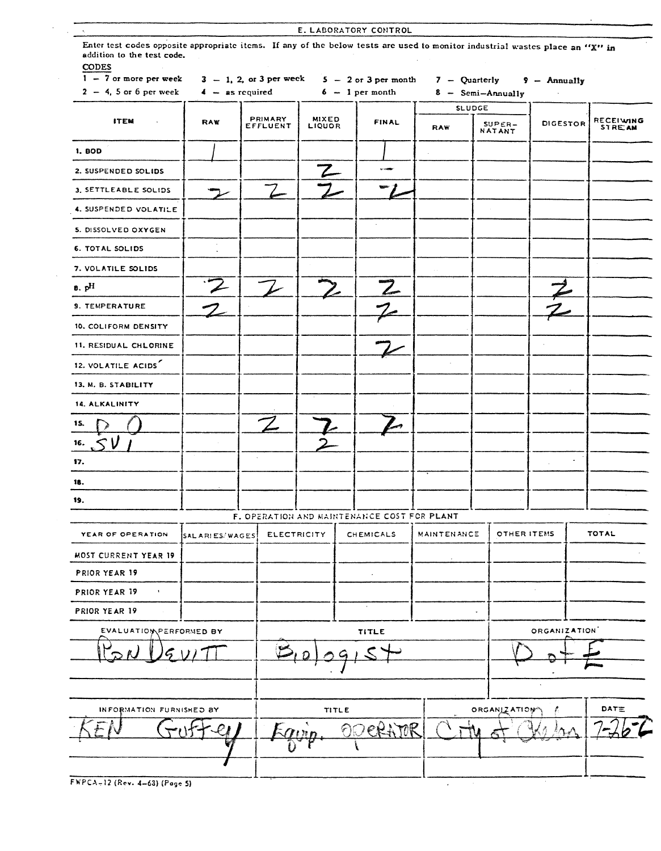| CODES<br>$1 - 7$ or more per week   |                 | $3 - 1$ , 2, or 3 per week |                        | $5 - 2$ or 3 per month                      | $7 -$ Quarterly    |                                    | 9 - Annually |                                   |
|-------------------------------------|-----------------|----------------------------|------------------------|---------------------------------------------|--------------------|------------------------------------|--------------|-----------------------------------|
| $2 - 4$ , 5 or 6 per week           |                 | $4 -$ as required          |                        | $6 - 1$ per month                           |                    | 8 - Semi-Annually<br><b>SLUDGE</b> |              |                                   |
| <b>ITEM</b>                         | RAW             | PRIMARY<br>EFFLUENT        | <b>MIXED</b><br>LIQUOR | <b>FINAL</b>                                | RAW                | $SUPER-$<br><b>NATANT</b>          | DIGESTOR     | <b>RECEIVING</b><br><b>STREAM</b> |
| 1. <b>BOD</b>                       |                 |                            |                        |                                             |                    |                                    |              |                                   |
| 2. SUSPENDED SOLIDS                 |                 |                            |                        | <b>STARBO</b>                               |                    |                                    |              |                                   |
| 3. SETTLEABLE SOLIDS                |                 |                            |                        |                                             |                    |                                    |              |                                   |
| 4. SUSPENDED VOLATILE               |                 |                            |                        |                                             |                    |                                    |              |                                   |
| 5. DISSOLVED OXYGEN                 |                 |                            |                        |                                             |                    |                                    |              |                                   |
| 6. TOTAL SOLIDS                     | $\blacksquare$  |                            |                        |                                             |                    |                                    |              |                                   |
| 7. VOLATILE SOLIDS                  |                 |                            |                        |                                             |                    |                                    |              |                                   |
| $B.$ $pH$                           |                 |                            |                        |                                             |                    |                                    |              |                                   |
| <b>9. TEMPERATURE</b>               |                 |                            |                        |                                             |                    |                                    |              |                                   |
| 10. COLIFORM DENSITY                |                 |                            |                        |                                             |                    |                                    |              |                                   |
| 11. RESIDUAL CHLORINE               |                 |                            |                        |                                             |                    |                                    |              |                                   |
| 12. VOLATILE ACIDS                  |                 |                            |                        |                                             |                    |                                    |              |                                   |
| 13. M. B. STABILITY                 |                 |                            |                        |                                             |                    |                                    |              |                                   |
| 14. ALKALINITY                      |                 |                            |                        |                                             |                    |                                    |              |                                   |
| 15.                                 |                 |                            |                        |                                             |                    |                                    |              |                                   |
| 16.                                 |                 |                            |                        |                                             |                    |                                    |              |                                   |
| 17.                                 |                 |                            |                        |                                             |                    |                                    |              |                                   |
| 18.                                 |                 |                            |                        |                                             |                    |                                    |              |                                   |
| 19.                                 |                 |                            |                        |                                             |                    |                                    |              |                                   |
|                                     |                 |                            |                        | F. OPERATION AND MAINTENANCE COST FOR PLANT |                    |                                    |              |                                   |
| YEAR OF OPERATION                   | SAL ARIES/WAGES | <b>ELECTRICITY</b>         |                        | CHEMICALS                                   | <b>MAINTENANCE</b> | OTHER ITEMS                        |              | <b>TOTAL</b>                      |
| <b>MOST CURRENT YEAR 19</b>         |                 |                            |                        |                                             |                    |                                    |              |                                   |
| PRIOR YEAR 19                       |                 |                            |                        | ٠                                           |                    |                                    |              |                                   |
| PRIOR YEAR 19<br>$\mathbf{r}_\perp$ |                 |                            |                        |                                             |                    |                                    |              |                                   |
| PRIOR YEAR 19                       |                 |                            |                        | $\star$                                     |                    |                                    |              |                                   |
| EVALUATION PERFORMED BY             |                 |                            |                        | <b>TITLE</b>                                |                    |                                    | ORGANIZATION |                                   |
|                                     |                 |                            |                        |                                             |                    |                                    |              |                                   |
|                                     |                 |                            |                        |                                             |                    |                                    |              |                                   |
|                                     |                 |                            |                        |                                             |                    |                                    |              |                                   |
| INFORMATION FURNISHED BY            |                 |                            | <b>TITLE</b>           |                                             |                    | ORGANIZATION                       |              | DATE                              |
|                                     |                 |                            |                        | CRATOR                                      |                    |                                    |              |                                   |
|                                     |                 |                            |                        |                                             |                    |                                    |              |                                   |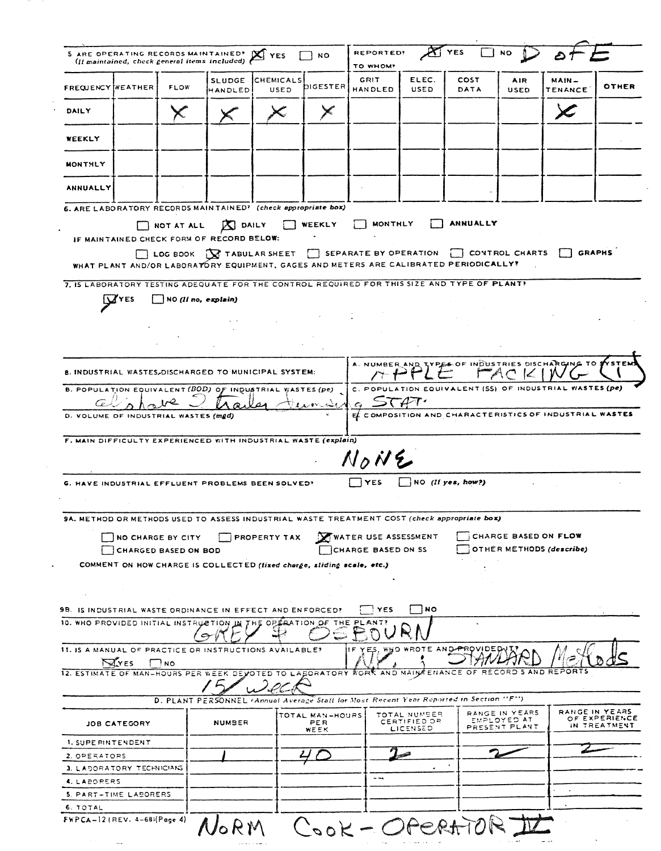|                                                                                   |                   |                             | <b>SLUDGE</b>                                                          | CHEMICALS    |                        | GRIT                                                                                                    | ELEC.                                    | <b>COST</b>                    | AIR                                            | MAIN -                                                               |                               |
|-----------------------------------------------------------------------------------|-------------------|-----------------------------|------------------------------------------------------------------------|--------------|------------------------|---------------------------------------------------------------------------------------------------------|------------------------------------------|--------------------------------|------------------------------------------------|----------------------------------------------------------------------|-------------------------------|
| <b>FREQUENCY MEATHER</b>                                                          |                   | <b>FLOW</b>                 | HANDLED                                                                | USED         | DIGESTER               | <b>HANDLED</b>                                                                                          | USED                                     | DATA                           | USED                                           | TENANCE                                                              | OTHER                         |
| DAILY                                                                             |                   |                             |                                                                        |              |                        |                                                                                                         |                                          |                                |                                                |                                                                      |                               |
| WEEKLY                                                                            |                   |                             |                                                                        |              |                        |                                                                                                         |                                          |                                |                                                |                                                                      |                               |
| MONTHLY                                                                           |                   |                             |                                                                        |              |                        |                                                                                                         |                                          |                                |                                                |                                                                      |                               |
| ANNUALLY                                                                          |                   |                             |                                                                        |              |                        |                                                                                                         |                                          |                                |                                                |                                                                      |                               |
|                                                                                   |                   |                             | 6. ARE LABORATORY RECORDS MAINTAINED? (check appropriate box)          |              |                        |                                                                                                         |                                          |                                |                                                |                                                                      |                               |
|                                                                                   |                   | NOT AT ALL                  | <b>X</b> DAILY<br>IF MAINTAINED CHECK FORM OF RECORD BELOW:            |              | WEEKLY                 | <b>MONTHLY</b><br>WHAT PLANT AND/OR LABORATORY EQUIPMENT, GAGES AND METERS ARE CALIBRATED PERIODICALLY? |                                          | ANNUALLY                       |                                                | LOG BOOK X TABULAR SHEET SEPARATE BY OPERATION CONTROL CHARTS GRAPHS |                               |
|                                                                                   |                   |                             |                                                                        |              |                        | 7. IS LABORATORY TESTING ADEQUATE FOR THE CONTROL REQUIRED FOR THIS SIZE AND TYPE OF PLANT!             |                                          |                                |                                                |                                                                      |                               |
|                                                                                   | 'YES              | NO (If no, explain)         |                                                                        |              |                        |                                                                                                         |                                          |                                |                                                |                                                                      |                               |
|                                                                                   |                   |                             |                                                                        |              |                        |                                                                                                         |                                          |                                |                                                |                                                                      |                               |
|                                                                                   |                   |                             |                                                                        |              |                        |                                                                                                         |                                          |                                |                                                |                                                                      |                               |
|                                                                                   |                   |                             |                                                                        |              |                        |                                                                                                         |                                          |                                |                                                |                                                                      |                               |
|                                                                                   |                   |                             | 8. INDUSTRIAL WASTES, DISCHARGED TO MUNICIPAL SYSTEM:                  |              |                        | A. NUMBER                                                                                               |                                          |                                |                                                | TYPES OF INDUSTRIES DISCHARGING TO \$                                |                               |
|                                                                                   |                   |                             | B. POPULATION EQUIVALENT (BOD) OF INDUSTRIAL WASTES (pe)               |              |                        |                                                                                                         |                                          |                                |                                                | C. POPULATION EQUIVALENT (SS) OF INDUSTRIAL WASTES (pe)              |                               |
|                                                                                   |                   |                             |                                                                        |              |                        | $\epsilon$                                                                                              |                                          |                                |                                                |                                                                      |                               |
|                                                                                   |                   |                             |                                                                        |              |                        |                                                                                                         |                                          |                                |                                                |                                                                      |                               |
|                                                                                   |                   |                             |                                                                        |              |                        |                                                                                                         |                                          |                                |                                                | EL COMPOSITION AND CHARACTERISTICS OF INDUSTRIAL WASTES              |                               |
|                                                                                   |                   |                             | F. MAIN DIFFICULTY EXPERIENCED WITH INDUSTRIAL WASTE (explain)         |              |                        | $N_0N_2$                                                                                                |                                          |                                |                                                |                                                                      |                               |
|                                                                                   |                   |                             | G. HAVE INDUSTRIAL EFFLUENT PROBLEMS BEEN SOLVED?                      |              |                        | <b>YES</b>                                                                                              |                                          | $NO$ (If yes, how?)            |                                                |                                                                      |                               |
|                                                                                   |                   |                             |                                                                        |              |                        |                                                                                                         |                                          |                                |                                                |                                                                      |                               |
|                                                                                   |                   |                             |                                                                        |              |                        | 9A. METHOD OR METHODS USED TO ASSESS INDUSTRIAL WASTE TREATMENT COST (check appropriate box)            |                                          |                                |                                                |                                                                      |                               |
|                                                                                   | NO CHARGE BY CITY |                             |                                                                        | PROPERTY TAX |                        | WATER USE ASSESSMENT                                                                                    |                                          |                                | CHARGE BASED ON FLOW                           |                                                                      |                               |
|                                                                                   |                   | <b>CHARGED BASED ON BOD</b> |                                                                        |              |                        | CHARGE BASED ON SS                                                                                      |                                          |                                |                                                | OTHER METHODS (describe)                                             |                               |
|                                                                                   |                   |                             | COMMENT ON HOW CHARGE IS COLLECTED (fixed charge, sliding scale, etc.) |              |                        |                                                                                                         |                                          |                                |                                                |                                                                      |                               |
|                                                                                   |                   |                             |                                                                        |              |                        |                                                                                                         |                                          |                                |                                                |                                                                      |                               |
|                                                                                   |                   |                             | 9B. IS INDUSTRIAL WASTE ORDINANCE IN EFFECT AND ENFORCED?              |              |                        | ! YES                                                                                                   | NO)                                      |                                |                                                |                                                                      |                               |
|                                                                                   |                   |                             | 10. WHO PROVIDED INITIAL INSTRUCTION IN THE OPERATION OF THE PLANT?    |              |                        |                                                                                                         |                                          |                                |                                                |                                                                      |                               |
|                                                                                   |                   |                             | 11. IS A MANUAL OF PRACTICE OR INSTRUCTIONS AVAILABLE?                 |              |                        | IF.                                                                                                     |                                          | YES, WHO WROTE AND PROVIDED VI |                                                |                                                                      |                               |
|                                                                                   | <b>AVES</b>       | $'$ NO                      |                                                                        |              |                        |                                                                                                         |                                          |                                |                                                |                                                                      |                               |
|                                                                                   |                   |                             |                                                                        |              |                        | 12. ESTIMATE OF MAN-HOURS PER WEEK DEVOTED TO LASORATORY WORK AND MAIN FENANCE                          |                                          | OF                             |                                                | RECORD S AND REPORTS                                                 |                               |
|                                                                                   |                   |                             |                                                                        |              |                        | D. PLANT PERSONNEL (Annual Average Staff for Most Recent Year Reported in Section "F")                  |                                          |                                |                                                |                                                                      |                               |
|                                                                                   | JOB CATEGORY      |                             | <b>NUMBER</b>                                                          |              | TOTAL MAN-HOURS<br>PER |                                                                                                         | TOTAL NUMBER<br>CERTIFIED OR<br>LICENSED |                                | RANGE IN YEARS<br>EMPLOYED AT<br>PRESENT PLANT |                                                                      | RANGE IN YEARS                |
| D. VOLUME OF INDUSTRIAL WASTES (mgd)<br>1. SUPERINTENDENT                         |                   |                             |                                                                        |              | WEEK                   |                                                                                                         |                                          |                                |                                                |                                                                      | OF EXPERIENCE<br>IN TREATMENT |
|                                                                                   |                   |                             |                                                                        |              |                        |                                                                                                         |                                          |                                |                                                |                                                                      |                               |
|                                                                                   |                   |                             |                                                                        |              |                        | $- -$                                                                                                   | $\bullet$                                |                                |                                                |                                                                      |                               |
| 2. OPERATORS<br>3. LABORATORY TECHNICIANS<br>4. LAPORERS<br>5. PART-TIME LABORERS |                   |                             |                                                                        |              |                        |                                                                                                         |                                          |                                |                                                |                                                                      |                               |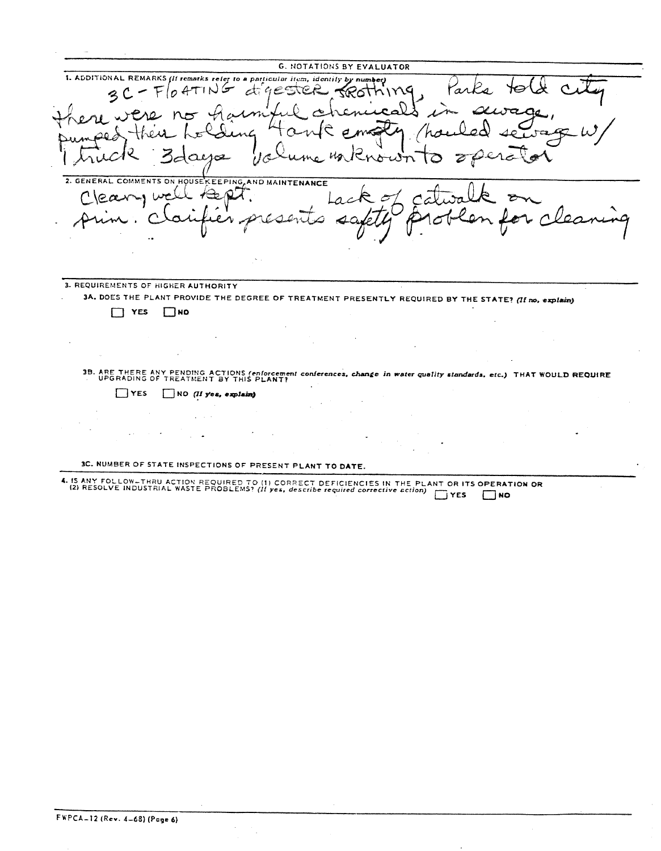**G.** NOTATIONS BY EVALUATOR 1. ADDITIONAL REMARKS *(If remarks refer to a particular item, identity by number)*<br> $Q C - F O A T IN G$   $dC C C C Q$  $F/OATING$ Parks  $\mathbf C$ لصه يتكسم *I* ta  $\sigma$ /ho ~  $y_c 0$  $\alpha$ تح 2. GENERAL COMMENTS ON HOUSEKEEPING AND MAINTENANCE  $C$ leary well  $A$ ept.  $\tilde{\sigma}$  $\Delta$ ست **3. REQUIREMENTS** OF HIGNER **AUTHORITY 3A. DOES THE PLANT PROVIDE THE DEGREE OF TREATMENT PRESENTLY REQUIRED BY THE STATE'** *(if* n.o. *\*xplaut)*  $\Box$  **YES**  $\Box$ **NO** .<br>B. ARE THERE ANY PENDING ACTIONS *(enforcement conferences, change in water quality standards, etc.*) THAT WOULD REQUIRE<br>- UPGRADING OF TREATMENT BY THIS PLANT?  $\mathbf{r}$ YES LIJNO *(I!* Vex, *ozplaia)* 3C. NUMBER OF STATE INSPECTIONS OF PRESENT PLANT TO **DATE.** I. IS ANY FOLLOW-THRU ACTION REQUIRED TO (1) CORRECT DEFICIENCIES IN THE PLANT OR ITS OPERATION OR<br>(2) RESOLVE INDUSTRIAL WASTE PROBLEMS? (If yes, describe required corrective action) [77] MESOLVE INDUSTRIAL WASTE PROBLEMS